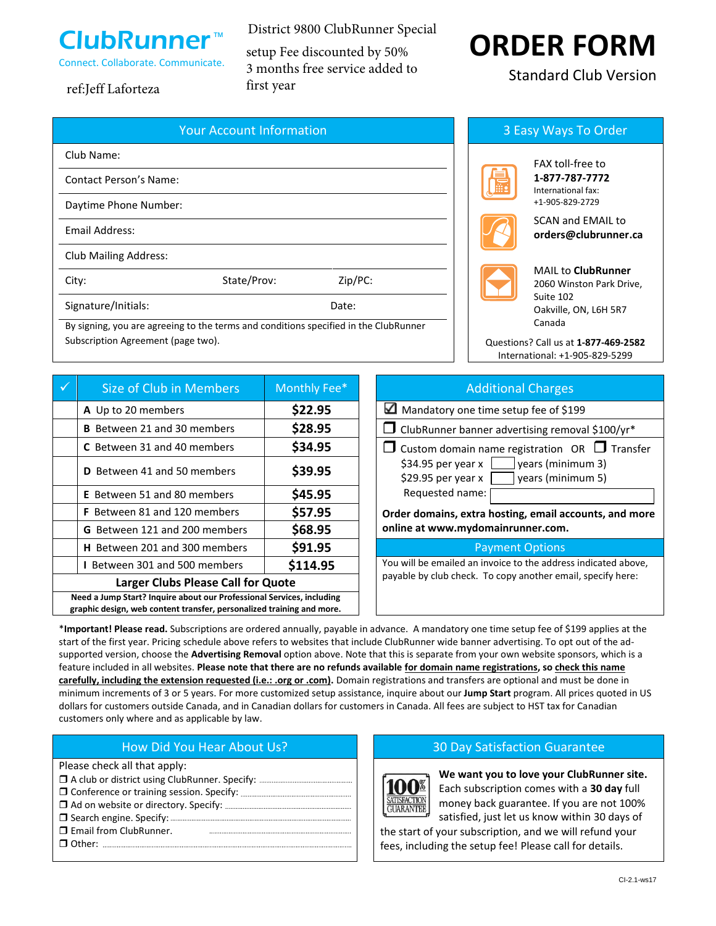

District 9800 ClubRunner Special setup Fee discounted by 50% 3 months free service added to

# first year ref:Jeff Laforteza

| <b>Your Account Information</b>                                                      |             |         |  |  |
|--------------------------------------------------------------------------------------|-------------|---------|--|--|
| Club Name:                                                                           |             |         |  |  |
| <b>Contact Person's Name:</b>                                                        |             |         |  |  |
| Daytime Phone Number:                                                                |             |         |  |  |
| Email Address:                                                                       |             |         |  |  |
| <b>Club Mailing Address:</b>                                                         |             |         |  |  |
| City:                                                                                | State/Prov: | Zip/PC: |  |  |
| Signature/Initials:                                                                  |             | Date:   |  |  |
| By signing, you are agreeing to the terms and conditions specified in the ClubRunner |             |         |  |  |

Subscription Agreement (page two).

|                                                                                                                                                | Size of Club in Members              | Monthly Fee* | <b>Additional Charges</b>                                                          |  |
|------------------------------------------------------------------------------------------------------------------------------------------------|--------------------------------------|--------------|------------------------------------------------------------------------------------|--|
|                                                                                                                                                | A Up to 20 members                   | \$22.95      | ✓<br>Mandatory one time setup fee of \$199                                         |  |
|                                                                                                                                                | <b>B</b> Between 21 and 30 members   | \$28.95      | $\Box$ ClubRunner banner advertising removal \$100/yr*                             |  |
|                                                                                                                                                | C Between 31 and 40 members          | \$34.95      | $\Box$ Custom domain name registration OR $\Box$ Transfer                          |  |
|                                                                                                                                                | <b>D</b> Between 41 and 50 members   | \$39.95      | years (minimum 3)<br>\$34.95 per year x<br>\$29.95 per year x<br>years (minimum 5) |  |
|                                                                                                                                                | <b>E</b> Between 51 and 80 members   | \$45.95      | Requested name:                                                                    |  |
|                                                                                                                                                | <b>F</b> Between 81 and 120 members  | \$57.95      | Order domains, extra hosting, email accounts, and mor                              |  |
|                                                                                                                                                | G Between 121 and 200 members        | \$68.95      | online at www.mydomainrunner.com.                                                  |  |
|                                                                                                                                                | <b>H</b> Between 201 and 300 members | \$91.95      | <b>Payment Options</b>                                                             |  |
|                                                                                                                                                | <b>I</b> Between 301 and 500 members | \$114.95     | You will be emailed an invoice to the address indicated above,                     |  |
| <b>Larger Clubs Please Call for Quote</b>                                                                                                      |                                      |              | payable by club check. To copy another email, specify here:                        |  |
| Need a Jump Start? Inquire about our Professional Services, including<br>graphic design, web content transfer, personalized training and more. |                                      |              |                                                                                    |  |

# **ORDER FORM**

Standard Club Version

# 3 Easy Ways To Order



FAX toll-free to **1-877-787-7772** International fax: +1-905-829-2729



SCAN and EMAIL to **orders@clubrunner.ca**

|--|

MAIL to **ClubRunner** 2060 Winston Park Drive, Suite 102 Oakville, ON, L6H 5R7 Canada

Questions? Call us at **1-877-469-2582** International: +1-905-829-5299

| Size of Club in Members              | Monthly Fee* | <b>Additional Charges</b>                                                                                 |
|--------------------------------------|--------------|-----------------------------------------------------------------------------------------------------------|
| A Up to 20 members                   | \$22.95      | Mandatory one time setup fee of \$199                                                                     |
| B Between 21 and 30 members          | \$28.95      | $\Box$ ClubRunner banner advertising removal \$100/yr*                                                    |
| <b>C</b> Between 31 and 40 members   | \$34.95      | $\Box$ Custom domain name registration OR $\Box$ Transfer                                                 |
| <b>D</b> Between 41 and 50 members   | \$39.95      | $$34.95$ per year x $\Box$<br>$\vert$ years (minimum 3)<br>\$29.95 per year $\times$<br>years (minimum 5) |
| <b>E</b> Between 51 and 80 members   | \$45.95      | Requested name:                                                                                           |
| <b>F</b> Between 81 and 120 members  | \$57.95      | Order domains, extra hosting, email accounts, and more                                                    |
| G Between 121 and 200 members        | \$68.95      | online at www.mydomainrunner.com.                                                                         |
| <b>H</b> Between 201 and 300 members | \$91.95      | <b>Payment Options</b>                                                                                    |
| <b>I</b> Between 301 and 500 members | \$114.95     | You will be emailed an invoice to the address indicated above,                                            |

\***Important! Please read.** Subscriptions are ordered annually, payable in advance. A mandatory one time setup fee of \$199 applies at the start of the first year. Pricing schedule above refers to websites that include ClubRunner wide banner advertising. To opt out of the adsupported version, choose the **Advertising Removal** option above. Note that this is separate from your own website sponsors, which is a feature included in all websites. **Please note that there are no refunds available for domain name registrations, so check this name carefully, including the extension requested (i.e.: .org or .com).** Domain registrations and transfers are optional and must be done in minimum increments of 3 or 5 years. For more customized setup assistance, inquire about our **Jump Start** program. All prices quoted in US dollars for customers outside Canada, and in Canadian dollars for customers in Canada. All fees are subject to HST tax for Canadian customers only where and as applicable by law.

Please check all that apply:

- A club or district using ClubRunner. Specify:
- Conference or training session. Specify: Ad on website or directory. Specify:
- Search engine. Specify:
- **I** Email from ClubRunner.
- Other:

# How Did You Hear About Us? 20 Day Satisfaction Guarantee



**We want you to love your ClubRunner site.** Each subscription comes with a **30 day** full money back guarantee. If you are not 100% satisfied, just let us know within 30 days of

the start of your subscription, and we will refund your fees, including the setup fee! Please call for details.